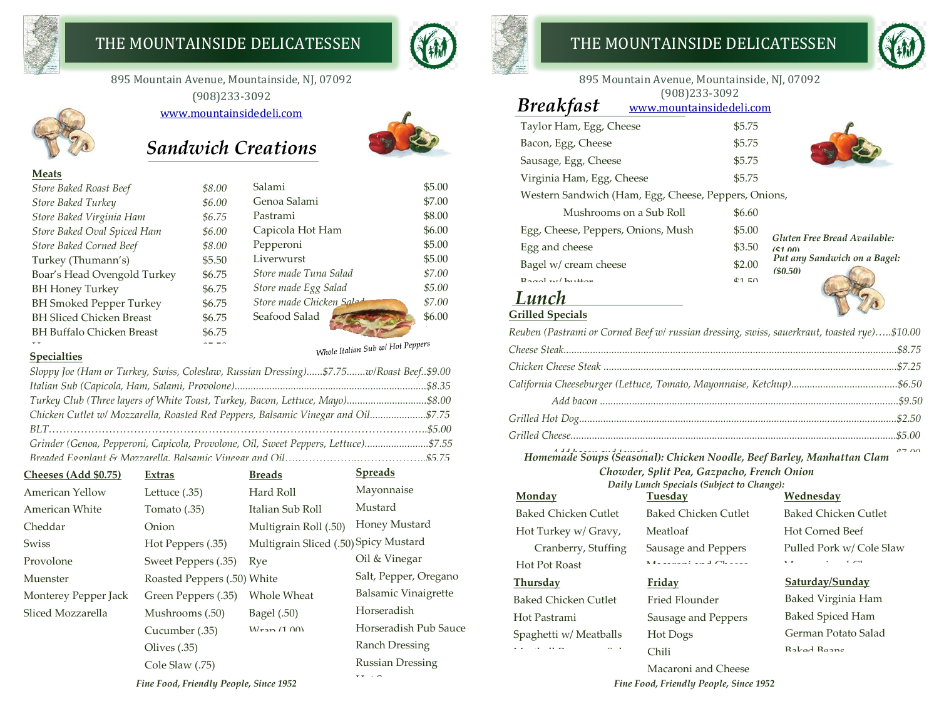

## THE MOUNTAINSIDE DELICATESSEN **THE MOUNTAINSIDE DELICATESSEN**

895 Mountain Avenue, Mountainside, NJ, 07092 (908)233-3092

[www.mountainsidedeli.com](http://www.mountainsidedeli.com/)



**Meats**

## *Sandwich Creations*



Whole Italian Sub w/ Hot Peppers

#### Ham \$5.50 **Specialties**

| Sloppy Joe (Ham or Turkey, Swiss, Coleslaw, Russian Dressing)\$7.75w/Roast Beef\$9.00 |  |
|---------------------------------------------------------------------------------------|--|
|                                                                                       |  |
| Turkey Club (Three layers of White Toast, Turkey, Bacon, Lettuce, Mayo)\$8.00         |  |
| Chicken Cutlet w/ Mozzarella, Roasted Red Peppers, Balsamic Vinegar and Oil\$7.75     |  |
|                                                                                       |  |
| Grinder (Genoa, Pepperoni, Capicola, Provolone, Oil, Sweet Peppers, Lettuce)\$7.55    |  |
|                                                                                       |  |

| Cheeses (Add \$0.75)                   | Extras                      | <b>Breads</b>                         | <b>Spreads</b>          |
|----------------------------------------|-----------------------------|---------------------------------------|-------------------------|
| <b>American Yellow</b>                 | Lettuce (.35)               | Hard Roll                             | Mayonnaise              |
| American White                         | Tomato (.35)                | Italian Sub Roll                      | Mustard                 |
| Cheddar                                | Onion                       | Multigrain Roll (.50)                 | Honey Mustard           |
| Swiss                                  | Hot Peppers (.35)           | Multigrain Sliced (.50) Spicy Mustard |                         |
| Provolone                              | Sweet Peppers (.35)         | Rye                                   | Oil & Vinegar           |
| Muenster                               | Roasted Peppers (.50) White |                                       | Salt, Pepper, Oregano   |
| Monterey Pepper Jack                   | Green Peppers (.35)         | Whole Wheat                           | Balsamic Vinaigrette    |
| Sliced Mozzarella                      | Mushrooms (.50)             | Bagel (.50)                           | Horseradish             |
|                                        | Cucumber (.35)              | $M_{\rm{ran}}$ (1.00)                 | Horseradish Pub Sauce   |
|                                        | Olives $(.35)$              |                                       | <b>Ranch Dressing</b>   |
|                                        | Cole Slaw (.75)             |                                       | <b>Russian Dressing</b> |
| Fine Food, Friendly People, Since 1952 | $T$ $T$ $T$ $T$             |                                       |                         |





#### 895 Mountain Avenue, Mountainside, NJ, 07092 (908)233-3092

| <b>Breakfast</b><br>www.mountainsidedeli.com         |        |                                         |
|------------------------------------------------------|--------|-----------------------------------------|
| Taylor Ham, Egg, Cheese                              | \$5.75 |                                         |
| Bacon, Egg, Cheese                                   | \$5.75 |                                         |
| Sausage, Egg, Cheese                                 | \$5.75 |                                         |
| Virginia Ham, Egg, Cheese                            | \$5.75 |                                         |
| Western Sandwich (Ham, Egg, Cheese, Peppers, Onions, |        |                                         |
| Mushrooms on a Sub Roll                              | \$6.60 |                                         |
| Egg, Cheese, Peppers, Onions, Mush                   | \$5.00 | Gluten Free Bread Available:            |
| Egg and cheese                                       | \$3.50 | (41.00)                                 |
| Bagel w/ cream cheese                                | \$2.00 | Put any Sandwich on a Bagel:<br>(50.50) |
| $Rand$ $w$ $h$ <sup>1</sup> $H$ <sub>or</sub>        | 4150   |                                         |
|                                                      |        |                                         |

## **Grilled Specials**

**Monday**

Hot Pot Roast <u>Thursday</u>

Hot Pastrami

Meatball Parmesan Sub

Baked Chicken Cutlet Hot Turkey w/ Gravy, Cranberry, Stuffing

Baked Chicken Cutlet

Spaghetti w/ Meatballs

*Reuben (Pastrami or Corned Beef w/ russian dressing, swiss, sauerkraut, toasted rye)…..\$10.00*

*Add bacon and tomato.............................................................................................\$7.00 Homemade Soups (Seasonal): Chicken Noodle, Beef Barley, Manhattan Clam Grilled Vegetable Wrap w/ Mozzarella (seasonal)..................................................................\$7.95 Chowder, Split Pea, Gazpacho, French Onion*

Baked Chicken Cutlet

Sausage and Peppers  $\mathbf{M} = \mathbf{M}$ 

*Daily Lunch Specials (Subject to Change):* **Tuesday**

Meatloaf

**Friday**

Hot Dogs Chili

Fried Flounder Sausage and Peppers

## **Wednesday**

Baked Chicken Cutlet Hot Corned Beef Pulled Pork w/ Cole Slaw Macaroni and Cheese

#### **Saturday/Sunday**

Baked Virginia Ham Baked Spiced Ham German Potato Salad Baked Beans

*Fine Food, Friendly People, Since 1952* BBQ Chicken Macaroni and Cheese